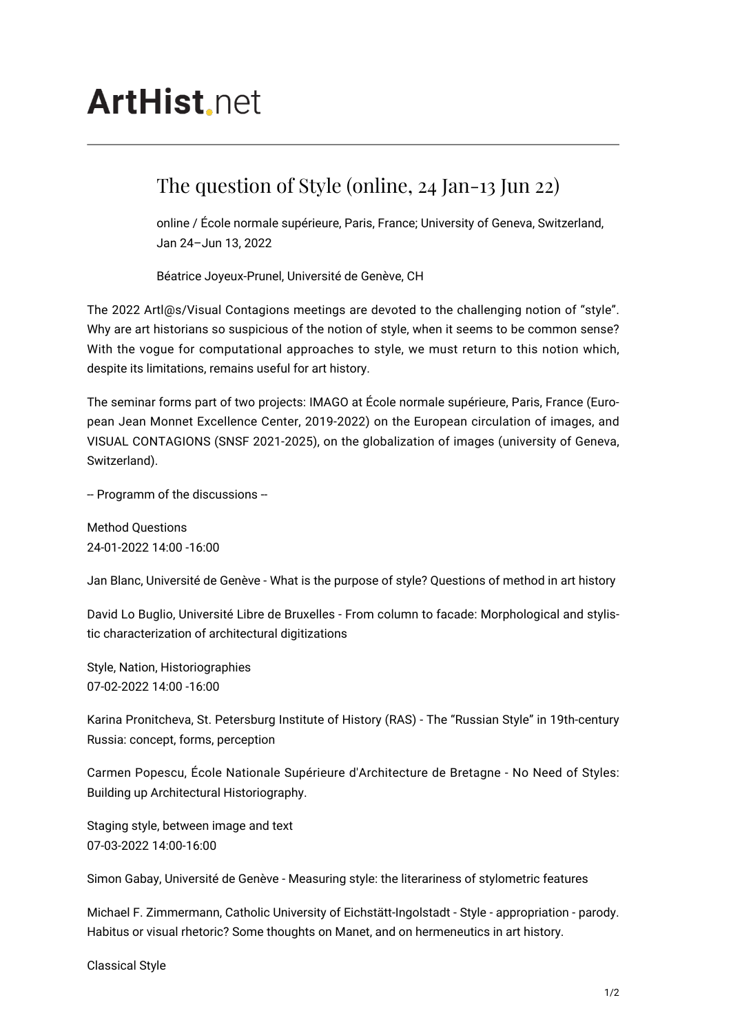## **ArtHist** net

## The question of Style (online, 24 Jan-13 Jun 22)

online / École normale supérieure, Paris, France; University of Geneva, Switzerland, Jan 24–Jun 13, 2022

Béatrice Joyeux-Prunel, Université de Genève, CH

The 2022 Artl@s/Visual Contagions meetings are devoted to the challenging notion of "style". Why are art historians so suspicious of the notion of style, when it seems to be common sense? With the vogue for computational approaches to style, we must return to this notion which, despite its limitations, remains useful for art history.

The seminar forms part of two projects: IMAGO at École normale supérieure, Paris, France (European Jean Monnet Excellence Center, 2019-2022) on the European circulation of images, and VISUAL CONTAGIONS (SNSF 2021-2025), on the globalization of images (university of Geneva, Switzerland).

-- Programm of the discussions --

Method Questions 24-01-2022 14:00 -16:00

Jan Blanc, Université de Genève - What is the purpose of style? Questions of method in art history

David Lo Buglio, Université Libre de Bruxelles - From column to facade: Morphological and stylistic characterization of architectural digitizations

Style, Nation, Historiographies 07-02-2022 14:00 -16:00

Karina Pronitcheva, St. Petersburg Institute of History (RAS) - The "Russian Style" in 19th-century Russia: concept, forms, perception

Carmen Popescu, École Nationale Supérieure d'Architecture de Bretagne - No Need of Styles: Building up Architectural Historiography.

Staging style, between image and text 07-03-2022 14:00-16:00

Simon Gabay, Université de Genève - Measuring style: the literariness of stylometric features

Michael F. Zimmermann, Catholic University of Eichstätt-Ingolstadt - Style - appropriation - parody. Habitus or visual rhetoric? Some thoughts on Manet, and on hermeneutics in art history.

Classical Style